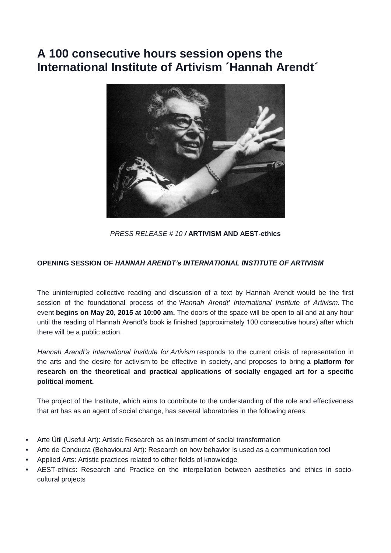## **A 100 consecutive hours session opens the International Institute of Artivism ´Hannah Arendt´**



*PRESS RELEASE # 10 /* **ARTIVISM AND AEST-ethics**

## **OPENING SESSION OF** *HANNAH ARENDT's INTERNATIONAL INSTITUTE OF ARTIVISM*

The uninterrupted collective reading and discussion of a text by Hannah Arendt would be the first session of the foundational process of the *'Hannah Arendt' International Institute of Artivism.* The event **begins on May 20, 2015 at 10:00 am.** The doors of the space will be open to all and at any hour until the reading of Hannah Arendt's book is finished (approximately 100 consecutive hours) after which there will be a public action.

*Hannah Arendt's International Institute for Artivism* responds to the current crisis of representation in the arts and the desire for activism to be effective in society, and proposes to bring **a platform for research on the theoretical and practical applications of socially engaged art for a specific political moment.** 

The project of the Institute, which aims to contribute to the understanding of the role and effectiveness that art has as an agent of social change, has several laboratories in the following areas:

- Arte Útil (Useful Art): Artistic Research as an instrument of social transformation
- Arte de Conducta (Behavioural Art): Research on how behavior is used as a communication tool
- Applied Arts: Artistic practices related to other fields of knowledge
- AEST-ethics: Research and Practice on the interpellation between aesthetics and ethics in sociocultural projects